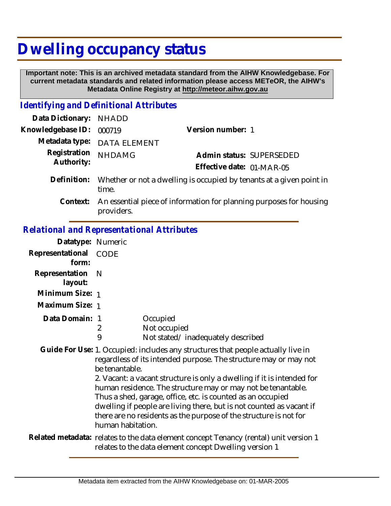## **Dwelling occupancy status**

 **Important note: This is an archived metadata standard from the AIHW Knowledgebase. For current metadata standards and related information please access METeOR, the AIHW's Metadata Online Registry at http://meteor.aihw.gov.au**

## *Identifying and Definitional Attributes*

| Data Dictionary: NHADD     |                                                                               |                           |                          |
|----------------------------|-------------------------------------------------------------------------------|---------------------------|--------------------------|
| Knowledgebase ID: 000719   |                                                                               | Version number: 1         |                          |
|                            | Metadata type: DATA ELEMENT                                                   |                           |                          |
| Registration<br>Authority: | <b>NHDAMG</b>                                                                 |                           | Admin status: SUPERSEDED |
|                            |                                                                               | Effective date: 01-MAR-05 |                          |
| Definition:                | Whether or not a dwelling is occupied by tenants at a given point in<br>time. |                           |                          |
| $C$ ontovt $\cdot$         | An escential piece of information for planning purposes for bougha            |                           |                          |

Context: An essential piece of information for planning purposes for housing providers.

## *Relational and Representational Attributes*

| Datatype: Numeric         |                                                                                                                                                 |                                                                                                                                                                                                                                                                                                                                                                                                                                                                                                            |
|---------------------------|-------------------------------------------------------------------------------------------------------------------------------------------------|------------------------------------------------------------------------------------------------------------------------------------------------------------------------------------------------------------------------------------------------------------------------------------------------------------------------------------------------------------------------------------------------------------------------------------------------------------------------------------------------------------|
| Representational<br>form: | <b>CODE</b>                                                                                                                                     |                                                                                                                                                                                                                                                                                                                                                                                                                                                                                                            |
| Representation<br>layout: | <sup>N</sup>                                                                                                                                    |                                                                                                                                                                                                                                                                                                                                                                                                                                                                                                            |
| Minimum Size: 1           |                                                                                                                                                 |                                                                                                                                                                                                                                                                                                                                                                                                                                                                                                            |
| Maximum Size: 1           |                                                                                                                                                 |                                                                                                                                                                                                                                                                                                                                                                                                                                                                                                            |
| Data Domain: 1            | 2<br>9                                                                                                                                          | Occupied<br>Not occupied<br>Not stated/inadequately described                                                                                                                                                                                                                                                                                                                                                                                                                                              |
|                           | be tenantable.<br>human habitation.                                                                                                             | Guide For Use: 1. Occupied: includes any structures that people actually live in<br>regardless of its intended purpose. The structure may or may not<br>2. Vacant: a vacant structure is only a dwelling if it is intended for<br>human residence. The structure may or may not be tenantable.<br>Thus a shed, garage, office, etc. is counted as an occupied<br>dwelling if people are living there, but is not counted as vacant if<br>there are no residents as the purpose of the structure is not for |
|                           | Related metadata: relates to the data element concept Tenancy (rental) unit version 1<br>relates to the data element concept Dwelling version 1 |                                                                                                                                                                                                                                                                                                                                                                                                                                                                                                            |